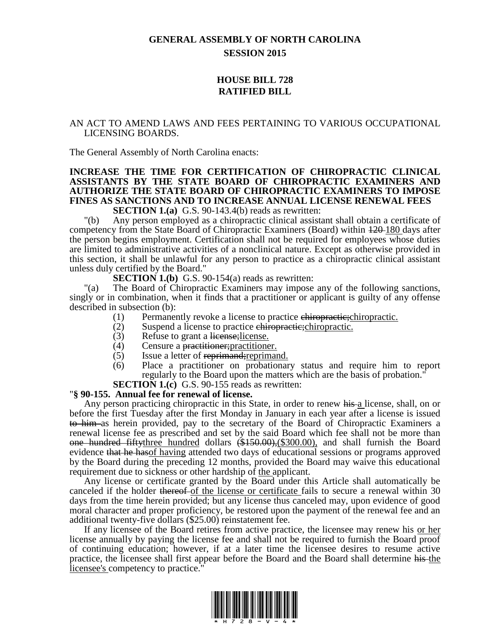# **GENERAL ASSEMBLY OF NORTH CAROLINA SESSION 2015**

# **HOUSE BILL 728 RATIFIED BILL**

### AN ACT TO AMEND LAWS AND FEES PERTAINING TO VARIOUS OCCUPATIONAL LICENSING BOARDS.

The General Assembly of North Carolina enacts:

## **INCREASE THE TIME FOR CERTIFICATION OF CHIROPRACTIC CLINICAL ASSISTANTS BY THE STATE BOARD OF CHIROPRACTIC EXAMINERS AND AUTHORIZE THE STATE BOARD OF CHIROPRACTIC EXAMINERS TO IMPOSE FINES AS SANCTIONS AND TO INCREASE ANNUAL LICENSE RENEWAL FEES**

**SECTION 1.(a)** G.S. 90-143.4(b) reads as rewritten:

"(b) Any person employed as a chiropractic clinical assistant shall obtain a certificate of competency from the State Board of Chiropractic Examiners (Board) within 120 180 days after the person begins employment. Certification shall not be required for employees whose duties are limited to administrative activities of a nonclinical nature. Except as otherwise provided in this section, it shall be unlawful for any person to practice as a chiropractic clinical assistant unless duly certified by the Board."

#### **SECTION 1.(b)** G.S. 90-154(a) reads as rewritten:

"(a) The Board of Chiropractic Examiners may impose any of the following sanctions, singly or in combination, when it finds that a practitioner or applicant is guilty of any offense described in subsection (b):

- (1) Permanently revoke a license to practice chiropractice-chiropractic.
- (2) Suspend a license to practice chiropractic; Chiropractic.
- (3) Refuse to grant a license; license.
- (4) Censure a practitioner;practitioner.
- (5) Issue a letter of reprimand; reprimand.
- (6) Place a practitioner on probationary status and require him to report regularly to the Board upon the matters which are the basis of probation."
- **SECTION 1.(c)** G.S. 90-155 reads as rewritten:

### "**§ 90-155. Annual fee for renewal of license.**

Any person practicing chiropractic in this State, in order to renew his a license, shall, on or before the first Tuesday after the first Monday in January in each year after a license is issued to him as herein provided, pay to the secretary of the Board of Chiropractic Examiners a renewal license fee as prescribed and set by the said Board which fee shall not be more than one hundred fiftythree hundred dollars (\$150.00),(\$300.00), and shall furnish the Board evidence that he hasof having attended two days of educational sessions or programs approved by the Board during the preceding 12 months, provided the Board may waive this educational requirement due to sickness or other hardship of the applicant.

Any license or certificate granted by the Board under this Article shall automatically be canceled if the holder thereof of the license or certificate fails to secure a renewal within 30 days from the time herein provided; but any license thus canceled may, upon evidence of good moral character and proper proficiency, be restored upon the payment of the renewal fee and an additional twenty-five dollars (\$25.00) reinstatement fee.

If any licensee of the Board retires from active practice, the licensee may renew his or her license annually by paying the license fee and shall not be required to furnish the Board proof of continuing education; however, if at a later time the licensee desires to resume active practice, the licensee shall first appear before the Board and the Board shall determine his the licensee's competency to practice.

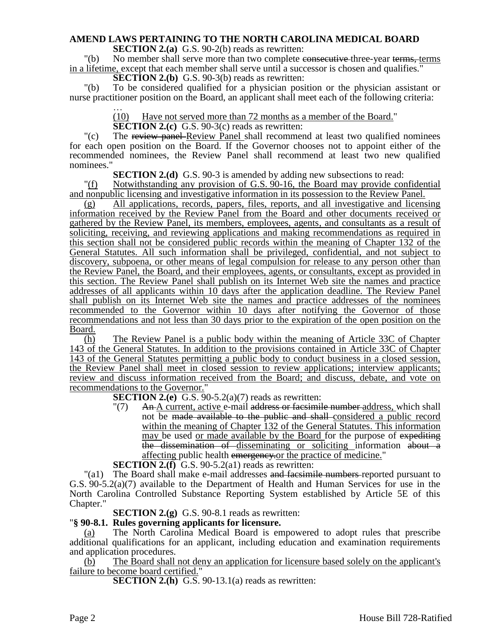# **AMEND LAWS PERTAINING TO THE NORTH CAROLINA MEDICAL BOARD**

**SECTION 2.(a)** G.S. 90-2(b) reads as rewritten:

"(b) No member shall serve more than two complete consecutive three-year terms, terms in a lifetime, except that each member shall serve until a successor is chosen and qualifies."

**SECTION 2.(b)** G.S. 90-3(b) reads as rewritten:

"(b) To be considered qualified for a physician position or the physician assistant or nurse practitioner position on the Board, an applicant shall meet each of the following criteria:

… (10) Have not served more than 72 months as a member of the Board."

**SECTION 2.(c)** G.S. 90-3(c) reads as rewritten:

"(c) The review panel-Review Panel shall recommend at least two qualified nominees" for each open position on the Board. If the Governor chooses not to appoint either of the recommended nominees, the Review Panel shall recommend at least two new qualified nominees."

**SECTION 2.(d)** G.S. 90-3 is amended by adding new subsections to read:

"(f) Notwithstanding any provision of G.S. 90-16, the Board may provide confidential and nonpublic licensing and investigative information in its possession to the Review Panel.

(g) All applications, records, papers, files, reports, and all investigative and licensing information received by the Review Panel from the Board and other documents received or gathered by the Review Panel, its members, employees, agents, and consultants as a result of soliciting, receiving, and reviewing applications and making recommendations as required in this section shall not be considered public records within the meaning of Chapter 132 of the General Statutes. All such information shall be privileged, confidential, and not subject to discovery, subpoena, or other means of legal compulsion for release to any person other than the Review Panel, the Board, and their employees, agents, or consultants, except as provided in this section. The Review Panel shall publish on its Internet Web site the names and practice addresses of all applicants within 10 days after the application deadline. The Review Panel shall publish on its Internet Web site the names and practice addresses of the nominees recommended to the Governor within 10 days after notifying the Governor of those recommendations and not less than 30 days prior to the expiration of the open position on the Board.

(h) The Review Panel is a public body within the meaning of Article 33C of Chapter 143 of the General Statutes. In addition to the provisions contained in Article 33C of Chapter 143 of the General Statutes permitting a public body to conduct business in a closed session, the Review Panel shall meet in closed session to review applications; interview applicants; review and discuss information received from the Board; and discuss, debate, and vote on recommendations to the Governor."

**SECTION 2.(e)** G.S. 90-5.2(a)(7) reads as rewritten:

"(7) An A current, active e-mail address or facsimile number address, which shall not be made available to the public and shall considered a public record within the meaning of Chapter 132 of the General Statutes. This information may be used or made available by the Board for the purpose of expediting the dissemination of disseminating or soliciting information about a affecting public health emergency or the practice of medicine."

**SECTION 2.(f)** G.S. 90-5.2(a1) reads as rewritten:

"(a1) The Board shall make e-mail addresses and facesimile numbers-reported pursuant to G.S. 90-5.2(a)(7) available to the Department of Health and Human Services for use in the North Carolina Controlled Substance Reporting System established by Article 5E of this Chapter."

**SECTION 2.(g)** G.S. 90-8.1 reads as rewritten:

## "**§ 90-8.1. Rules governing applicants for licensure.**

(a) The North Carolina Medical Board is empowered to adopt rules that prescribe additional qualifications for an applicant, including education and examination requirements and application procedures.

(b) The Board shall not deny an application for licensure based solely on the applicant's failure to become board certified."

**SECTION 2.(h)** G.S. 90-13.1(a) reads as rewritten: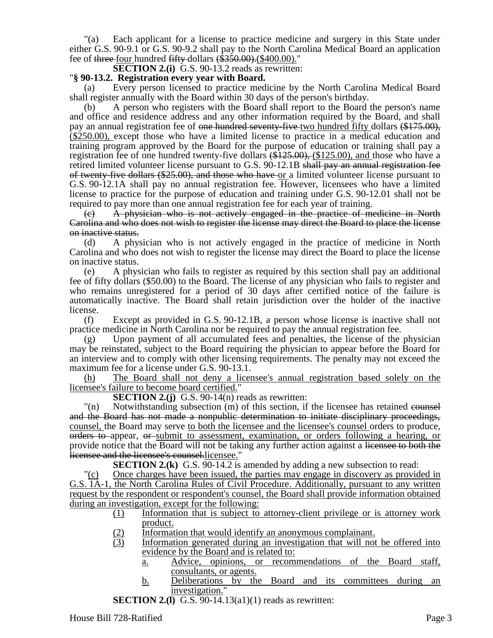"(a) Each applicant for a license to practice medicine and surgery in this State under either G.S. 90-9.1 or G.S. 90-9.2 shall pay to the North Carolina Medical Board an application fee of three-four hundred  $fifty$ -dollars  $(\$350.00)$ . $(\$400.00)$ ."

**SECTION 2.(i)** G.S. 90-13.2 reads as rewritten:

### "**§ 90-13.2. Registration every year with Board.**

(a) Every person licensed to practice medicine by the North Carolina Medical Board shall register annually with the Board within 30 days of the person's birthday.

(b) A person who registers with the Board shall report to the Board the person's name and office and residence address and any other information required by the Board, and shall pay an annual registration fee of <del>one hundred seventy-five</del> two hundred fifty dollars (\$175.00), (\$250.00), except those who have a limited license to practice in a medical education and training program approved by the Board for the purpose of education or training shall pay a registration fee of one hundred twenty-five dollars  $(\text{$}125.00)$ ,  $(\text{$}125.00)$ , and those who have a retired limited volunteer license pursuant to G.S. 90-12.1B shall pay an annual registration fee of twenty-five dollars (\$25.00), and those who have or a limited volunteer license pursuant to G.S. 90-12.1A shall pay no annual registration fee. However, licensees who have a limited license to practice for the purpose of education and training under G.S. 90-12.01 shall not be required to pay more than one annual registration fee for each year of training.

(c) A physician who is not actively engaged in the practice of medicine in North Carolina and who does not wish to register the license may direct the Board to place the license on inactive status.

(d) A physician who is not actively engaged in the practice of medicine in North Carolina and who does not wish to register the license may direct the Board to place the license on inactive status.

(e) A physician who fails to register as required by this section shall pay an additional fee of fifty dollars (\$50.00) to the Board. The license of any physician who fails to register and who remains unregistered for a period of 30 days after certified notice of the failure is automatically inactive. The Board shall retain jurisdiction over the holder of the inactive license.

(f) Except as provided in G.S. 90-12.1B, a person whose license is inactive shall not practice medicine in North Carolina nor be required to pay the annual registration fee.

(g) Upon payment of all accumulated fees and penalties, the license of the physician may be reinstated, subject to the Board requiring the physician to appear before the Board for an interview and to comply with other licensing requirements. The penalty may not exceed the maximum fee for a license under G.S. 90-13.1.

(h) The Board shall not deny a licensee's annual registration based solely on the licensee's failure to become board certified."

**SECTION 2.(j)** G.S. 90-14(n) reads as rewritten:

"(n) Notwithstanding subsection (m) of this section, if the licensee has retained counsel and the Board has not made a nonpublic determination to initiate disciplinary proceedings, counsel, the Board may serve to both the licensee and the licensee's counsel orders to produce, orders to appear, or submit to assessment, examination, or orders following a hearing, or provide notice that the Board will not be taking any further action against a licensee to both the licensee and the licensee's counsel.licensee."

**SECTION 2.(k)** G.S. 90-14.2 is amended by adding a new subsection to read:

"(c) Once charges have been issued, the parties may engage in discovery as provided in G.S. 1A-1, the North Carolina Rules of Civil Procedure. Additionally, pursuant to any written request by the respondent or respondent's counsel, the Board shall provide information obtained during an investigation, except for the following:

- (1) Information that is subject to attorney-client privilege or is attorney work product.
- (2) Information that would identify an anonymous complainant.
- (3) Information generated during an investigation that will not be offered into evidence by the Board and is related to:
	- a. Advice, opinions, or recommendations of the Board staff, consultants, or agents.
	- b. Deliberations by the Board and its committees during an investigation."
- **SECTION 2.(1)** G.S. 90-14.13(a1)(1) reads as rewritten: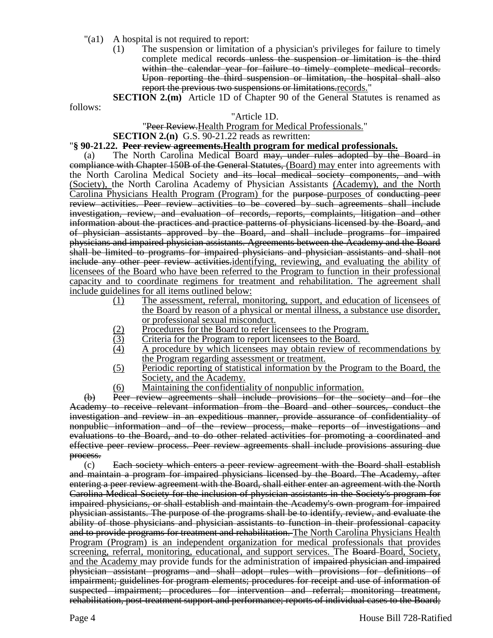- "(a1) A hospital is not required to report:
	- (1) The suspension or limitation of a physician's privileges for failure to timely complete medical records unless the suspension or limitation is the third within the calendar year for failure to timely complete medical records. Upon reporting the third suspension or limitation, the hospital shall also report the previous two suspensions or limitations.records."
	- **SECTION 2.(m)** Article 1D of Chapter 90 of the General Statutes is renamed as

follows:

#### "Article 1D.

#### "Peer Review. Health Program for Medical Professionals."

#### **SECTION 2.(n)** G.S. 90-21.22 reads as rewritten:

#### "**§ 90-21.22. Peer review agreements.Health program for medical professionals.**

(a) The North Carolina Medical Board <del>may, under rules adopted by the Board in</del> compliance with Chapter 150B of the General Statutes, (Board) may enter into agreements with the North Carolina Medical Society and its local medical society components, and with (Society), the North Carolina Academy of Physician Assistants (Academy), and the North Carolina Physicians Health Program (Program) for the purpose purposes of conducting peer review activities. Peer review activities to be covered by such agreements shall include investigation, review, and evaluation of records, reports, complaints, litigation and other information about the practices and practice patterns of physicians licensed by the Board, and of physician assistants approved by the Board, and shall include programs for impaired physicians and impaired physician assistants. Agreements between the Academy and the Board shall be limited to programs for impaired physicians and physician assistants and shall not include any other peer review activities, identifying, reviewing, and evaluating the ability of licensees of the Board who have been referred to the Program to function in their professional capacity and to coordinate regimens for treatment and rehabilitation. The agreement shall include guidelines for all items outlined below:

- (1) The assessment, referral, monitoring, support, and education of licensees of the Board by reason of a physical or mental illness, a substance use disorder, or professional sexual misconduct.
- 
- (2) Procedures for the Board to refer licensees to the Program.<br>
(3) Criteria for the Program to report licensees to the Board. Criteria for the Program to report licensees to the Board.
- (4) A procedure by which licensees may obtain review of recommendations by the Program regarding assessment or treatment.
- (5) Periodic reporting of statistical information by the Program to the Board, the Society, and the Academy.
- (6) Maintaining the confidentiality of nonpublic information.

(b) Peer review agreements shall include provisions for the society and for the Academy to receive relevant information from the Board and other sources, conduct the investigation and review in an expeditious manner, provide assurance of confidentiality of nonpublic information and of the review process, make reports of investigations and evaluations to the Board, and to do other related activities for promoting a coordinated and effective peer review process. Peer review agreements shall include provisions assuring due process.

(c) Each society which enters a peer review agreement with the Board shall establish and maintain a program for impaired physicians licensed by the Board. The Academy, after entering a peer review agreement with the Board, shall either enter an agreement with the North Carolina Medical Society for the inclusion of physician assistants in the Society's program for impaired physicians, or shall establish and maintain the Academy's own program for impaired physician assistants. The purpose of the programs shall be to identify, review, and evaluate the ability of those physicians and physician assistants to function in their professional capacity and to provide programs for treatment and rehabilitation. The North Carolina Physicians Health Program (Program) is an independent organization for medical professionals that provides screening, referral, monitoring, educational, and support services. The Board-Board, Society, and the Academy may provide funds for the administration of impaired physician and impaired physician assistant programs and shall adopt rules with provisions for definitions of impairment; guidelines for program elements; procedures for receipt and use of information of suspected impairment; procedures for intervention and referral; monitoring treatment, rehabilitation, post-treatment support and performance; reports of individual cases to the Board;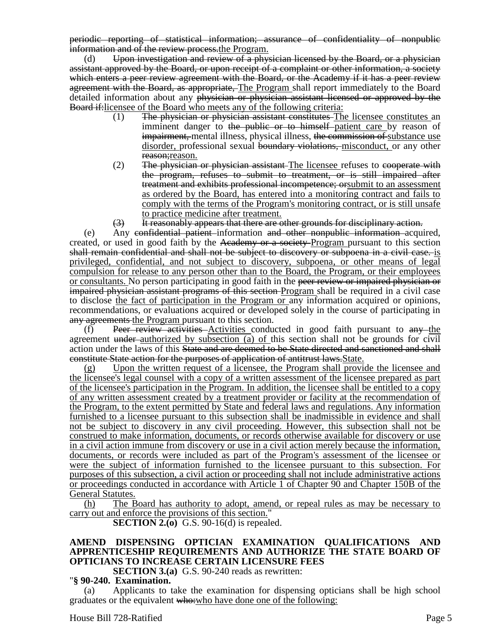periodic reporting of statistical information; assurance of confidentiality of nonpublic information and of the review process.the Program.

 $(d)$  Upon investigation and review of a physician licensed by the Board, or a physician assistant approved by the Board, or upon receipt of a complaint or other information, a society which enters a peer review agreement with the Board, or the Academy if it has a peer review agreement with the Board, as appropriate, The Program shall report immediately to the Board detailed information about any physician or physician assistant licensed or approved by the Board if:licensee of the Board who meets any of the following criteria:

- (1) The physician or physician assistant constitutes The licensee constitutes an imminent danger to the public or to himself patient care by reason of impairment, mental illness, physical illness, the commission of substance use disorder, professional sexual boundary violations, misconduct, or any other reason; reason.
- $(2)$  The physician or physician assistant. The licensee refuses to cooperate with the program, refuses to submit to treatment, or is still impaired after treatment and exhibits professional incompetence; orsubmit to an assessment as ordered by the Board, has entered into a monitoring contract and fails to comply with the terms of the Program's monitoring contract, or is still unsafe to practice medicine after treatment.
- $(3)$  It reasonably appears that there are other grounds for disciplinary action.

(e) Any confidential patient information and other nonpublic information acquired, created, or used in good faith by the Academy or a society Program pursuant to this section shall remain confidential and shall not be subject to discovery or subpoena in a civil case. is privileged, confidential, and not subject to discovery, subpoena, or other means of legal compulsion for release to any person other than to the Board, the Program, or their employees or consultants. No person participating in good faith in the peer review or impaired physician or impaired physician assistant programs of this section Program shall be required in a civil case to disclose the fact of participation in the Program or any information acquired or opinions, recommendations, or evaluations acquired or developed solely in the course of participating in any agreements the Program pursuant to this section.

(f) Peer review activities Activities conducted in good faith pursuant to  $\frac{amy}{m}$ -the agreement under authorized by subsection (a) of this section shall not be grounds for civil action under the laws of this State and are deemed to be State directed and sanctioned and shall constitute State action for the purposes of application of antitrust laws.State.

Upon the written request of a licensee, the Program shall provide the licensee and the licensee's legal counsel with a copy of a written assessment of the licensee prepared as part of the licensee's participation in the Program. In addition, the licensee shall be entitled to a copy of any written assessment created by a treatment provider or facility at the recommendation of the Program, to the extent permitted by State and federal laws and regulations. Any information furnished to a licensee pursuant to this subsection shall be inadmissible in evidence and shall not be subject to discovery in any civil proceeding. However, this subsection shall not be construed to make information, documents, or records otherwise available for discovery or use in a civil action immune from discovery or use in a civil action merely because the information, documents, or records were included as part of the Program's assessment of the licensee or were the subject of information furnished to the licensee pursuant to this subsection. For purposes of this subsection, a civil action or proceeding shall not include administrative actions or proceedings conducted in accordance with Article 1 of Chapter 90 and Chapter 150B of the General Statutes.

(h) The Board has authority to adopt, amend, or repeal rules as may be necessary to carry out and enforce the provisions of this section."

**SECTION 2.(0)** G.S. 90-16(d) is repealed.

### **AMEND DISPENSING OPTICIAN EXAMINATION QUALIFICATIONS AND APPRENTICESHIP REQUIREMENTS AND AUTHORIZE THE STATE BOARD OF OPTICIANS TO INCREASE CERTAIN LICENSURE FEES**

**SECTION 3.(a)** G.S. 90-240 reads as rewritten:

### "**§ 90-240. Examination.**

Applicants to take the examination for dispensing opticians shall be high school graduates or the equivalent who:who have done one of the following: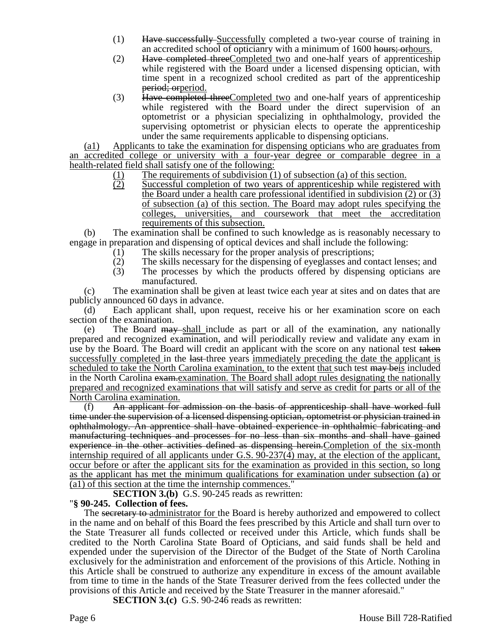- (1) Have successfully Successfully completed a two-year course of training in an accredited school of opticianry with a minimum of 1600 hours; orhours.
- (2) Have completed three Completed two and one-half years of apprenticeship while registered with the Board under a licensed dispensing optician, with time spent in a recognized school credited as part of the apprenticeship period; orperiod.
- (3) Have completed threeCompleted two and one-half years of apprenticeship while registered with the Board under the direct supervision of an optometrist or a physician specializing in ophthalmology, provided the supervising optometrist or physician elects to operate the apprenticeship under the same requirements applicable to dispensing opticians.

(a1) Applicants to take the examination for dispensing opticians who are graduates from an accredited college or university with a four-year degree or comparable degree in a health-related field shall satisfy one of the following:

- 
- (1) The requirements of subdivision (1) of subsection (a) of this section.<br>(2) Successful completion of two years of apprenticeship while registe Successful completion of two years of apprenticeship while registered with the Board under a health care professional identified in subdivision (2) or (3) of subsection (a) of this section. The Board may adopt rules specifying the colleges, universities, and coursework that meet the accreditation requirements of this subsection.

(b) The examination shall be confined to such knowledge as is reasonably necessary to engage in preparation and dispensing of optical devices and shall include the following:

- (1) The skills necessary for the proper analysis of prescriptions;
- 
- (2) The skills necessary for the dispensing of eyeglasses and contact lenses; and (3) The processes by which the products offered by dispensing opticians are The processes by which the products offered by dispensing opticians are manufactured.

(c) The examination shall be given at least twice each year at sites and on dates that are publicly announced 60 days in advance.

(d) Each applicant shall, upon request, receive his or her examination score on each section of the examination.

(e) The Board  $\frac{m}{w}$ -shall include as part or all of the examination, any nationally prepared and recognized examination, and will periodically review and validate any exam in use by the Board. The Board will credit an applicant with the score on any national test taken successfully completed in the last-three years immediately preceding the date the applicant is scheduled to take the North Carolina examination, to the extent that such test may beis included in the North Carolina examenterial examples in The Board shall adopt rules designating the nationally prepared and recognized examinations that will satisfy and serve as credit for parts or all of the North Carolina examination.

(f) An applicant for admission on the basis of apprenticeship shall have worked full time under the supervision of a licensed dispensing optician, optometrist or physician trained in ophthalmology. An apprentice shall have obtained experience in ophthalmic fabricating and manufacturing techniques and processes for no less than six months and shall have gained experience in the other activities defined as dispensing herein.Completion of the six-month internship required of all applicants under G.S.  $90-237(4)$  may, at the election of the applicant, occur before or after the applicant sits for the examination as provided in this section, so long as the applicant has met the minimum qualifications for examination under subsection (a) or (a1) of this section at the time the internship commences."

**SECTION 3.(b)** G.S. 90-245 reads as rewritten:

### "**§ 90-245. Collection of fees.**

The secretary to administrator for the Board is hereby authorized and empowered to collect in the name and on behalf of this Board the fees prescribed by this Article and shall turn over to the State Treasurer all funds collected or received under this Article, which funds shall be credited to the North Carolina State Board of Opticians, and said funds shall be held and expended under the supervision of the Director of the Budget of the State of North Carolina exclusively for the administration and enforcement of the provisions of this Article. Nothing in this Article shall be construed to authorize any expenditure in excess of the amount available from time to time in the hands of the State Treasurer derived from the fees collected under the provisions of this Article and received by the State Treasurer in the manner aforesaid."

**SECTION 3.(c)** G.S. 90-246 reads as rewritten: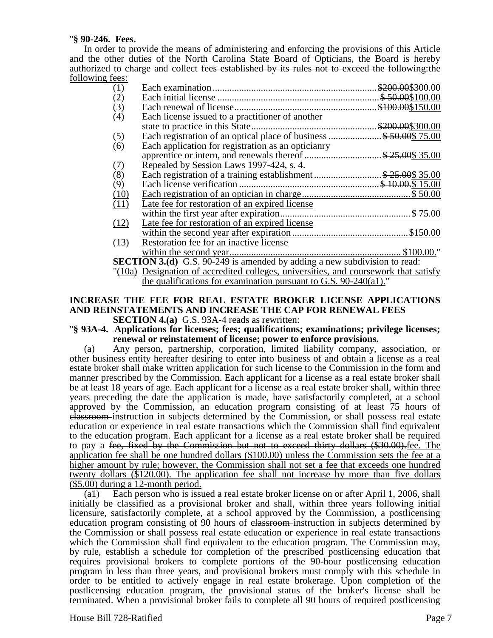### "**§ 90-246. Fees.**

In order to provide the means of administering and enforcing the provisions of this Article and the other duties of the North Carolina State Board of Opticians, the Board is hereby authorized to charge and collect fees established by its rules not to exceed the following:the following fees:

|                                                                                  | (1)  |                                                    |  |
|----------------------------------------------------------------------------------|------|----------------------------------------------------|--|
|                                                                                  | (2)  |                                                    |  |
|                                                                                  | (3)  |                                                    |  |
|                                                                                  | (4)  | Each license issued to a practitioner of another   |  |
|                                                                                  |      |                                                    |  |
|                                                                                  | (5)  |                                                    |  |
|                                                                                  | (6)  | Each application for registration as an opticianry |  |
|                                                                                  |      |                                                    |  |
|                                                                                  | (7)  | Repealed by Session Laws 1997-424, s. 4.           |  |
|                                                                                  | (8)  |                                                    |  |
|                                                                                  | (9)  |                                                    |  |
|                                                                                  | (10) |                                                    |  |
|                                                                                  | (11) | Late fee for restoration of an expired license     |  |
|                                                                                  |      |                                                    |  |
|                                                                                  | (12) | Late fee for restoration of an expired license     |  |
|                                                                                  |      |                                                    |  |
|                                                                                  | (13) | Restoration fee for an inactive license            |  |
|                                                                                  |      |                                                    |  |
| <b>SECTION 3.(d)</b> G.S. 90-249 is amended by adding a new subdivision to read: |      |                                                    |  |

"(10a) Designation of accredited colleges, universities, and coursework that satisfy the qualifications for examination pursuant to G.S. 90-240(a1)."

# **INCREASE THE FEE FOR REAL ESTATE BROKER LICENSE APPLICATIONS AND REINSTATEMENTS AND INCREASE THE CAP FOR RENEWAL FEES**

**SECTION 4.(a)** G.S. 93A-4 reads as rewritten:

"**§ 93A-4. Applications for licenses; fees; qualifications; examinations; privilege licenses; renewal or reinstatement of license; power to enforce provisions.**

(a) Any person, partnership, corporation, limited liability company, association, or other business entity hereafter desiring to enter into business of and obtain a license as a real estate broker shall make written application for such license to the Commission in the form and manner prescribed by the Commission. Each applicant for a license as a real estate broker shall be at least 18 years of age. Each applicant for a license as a real estate broker shall, within three years preceding the date the application is made, have satisfactorily completed, at a school approved by the Commission, an education program consisting of at least 75 hours of classroom instruction in subjects determined by the Commission, or shall possess real estate education or experience in real estate transactions which the Commission shall find equivalent to the education program. Each applicant for a license as a real estate broker shall be required to pay a fee, fixed by the Commission but not to exceed thirty dollars (\$30.00).fee. The application fee shall be one hundred dollars (\$100.00) unless the Commission sets the fee at a higher amount by rule; however, the Commission shall not set a fee that exceeds one hundred twenty dollars (\$120.00). The application fee shall not increase by more than five dollars (\$5.00) during a 12-month period.

(a1) Each person who is issued a real estate broker license on or after April 1, 2006, shall initially be classified as a provisional broker and shall, within three years following initial licensure, satisfactorily complete, at a school approved by the Commission, a postlicensing education program consisting of 90 hours of classroom instruction in subjects determined by the Commission or shall possess real estate education or experience in real estate transactions which the Commission shall find equivalent to the education program. The Commission may, by rule, establish a schedule for completion of the prescribed postlicensing education that requires provisional brokers to complete portions of the 90-hour postlicensing education program in less than three years, and provisional brokers must comply with this schedule in order to be entitled to actively engage in real estate brokerage. Upon completion of the postlicensing education program, the provisional status of the broker's license shall be terminated. When a provisional broker fails to complete all 90 hours of required postlicensing